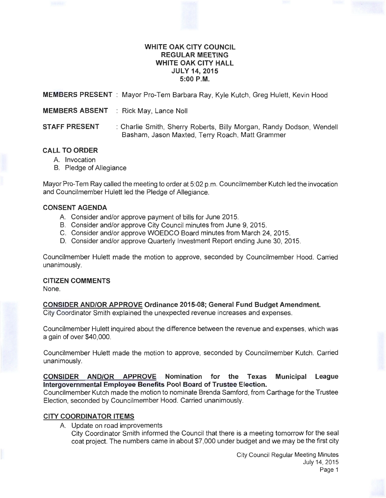## **WHITE OAK CITY COUNCIL REGULAR MEETING WHITE OAK CITY HALL JULY 14,2015 5:00P.M.**

**MEMBERS PRESENT** : Mayor Pro-Tem Barbara Ray, Kyle Kutch, Greg Hulett, Kevin Hood

**MEMBERS ABSENT** : Rick May, Lance Noll

**STAFF PRESENT** : Charlie Smith, Sherry Roberts, Billy Morgan, Randy Dodson, Wendell Basham, Jason Maxted, Terry Roach, Matt Grammer

## **CALL TO ORDER**

- A. Invocation
- B. Pledge of Allegiance

Mayor Pro-Tem Ray called the meeting to order at 5:02 p.m. Councilmember Kutch led the invocation and Councilmember Hulett led the Pledge of Allegiance.

## **CONSENT AGENDA**

- A. Consider and/or approve payment of bills for June 2015.
- B. Consider and/or approve City Council minutes from June 9, 2015.
- C. Consider and/or approve WOEDCO Board minutes from March 24, 2015.
- D. Consider and/or approve Quarterly Investment Report ending June 30, 2015.

Councilmember Hulett made the motion to approve, seconded by Councilmember Hood. Carried unanimously.

## **CITIZEN COMMENTS**

None.

# **CONSIDER AND/OR APPROVE Ordinance 2015-08; General Fund Budget Amendment.**

City Coordinator Smith explained the unexpected revenue increases and expenses.

Councilmember Hulett inquired about the difference between the revenue and expenses, which was a gain of over \$40,000.

Councilmember Hulett made the motion to approve, seconded by Councilmember Kutch. Carried unanimously.

**CONSIDER AND/OR APPROVE Nomination for the Texas Municipal League Intergovernmental Employee Benefits Pool Board of Trustee Election.** 

Councilmember Kutch made the motion to nominate Brenda Samford, from Carthage for the Trustee Election, seconded by Councilmember Hood. Carried unanimously.

# **CITY COORDINATOR ITEMS**

A. Update on road improvements

City Coordinator Smith informed the Council that there is a meeting tomorrow for the seal coat project. The numbers came in about \$7,000 under budget and we may be the first city